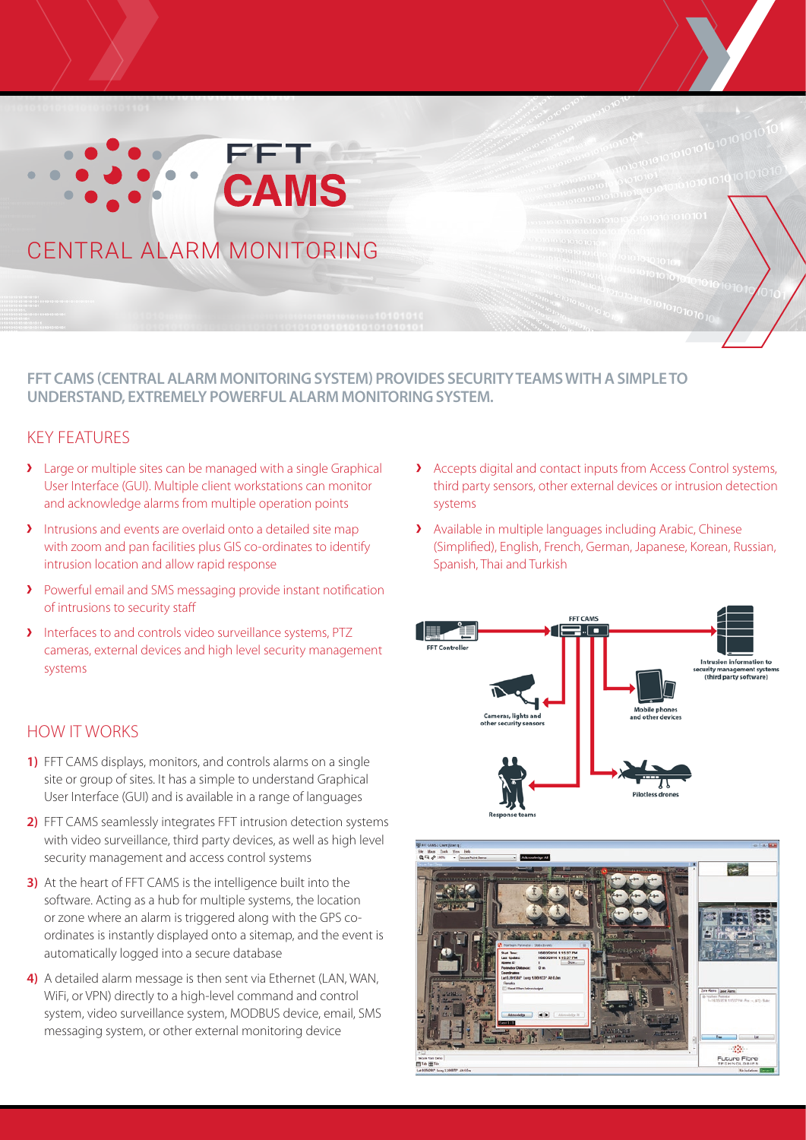# **FET CAMS** CENTRAL ALARM MONITORING

## **FFT CAMS (CENTRAL ALARM MONITORING SYSTEM) PROVIDES SECURITY TEAMS WITH A SIMPLE TO UNDERSTAND, EXTREMELY POWERFUL ALARM MONITORING SYSTEM.**

## KEY FEATURES

- Large or multiple sites can be managed with a single Graphical User Interface (GUI). Multiple client workstations can monitor and acknowledge alarms from multiple operation points
- Intrusions and events are overlaid onto a detailed site map with zoom and pan facilities plus GIS co-ordinates to identify intrusion location and allow rapid response
- Powerful email and SMS messaging provide instant notification of intrusions to security staff
- Interfaces to and controls video surveillance systems, PTZ cameras, external devices and high level security management systems

## HOW IT WORKS

- **1)** FFT CAMS displays, monitors, and controls alarms on a single site or group of sites. It has a simple to understand Graphical User Interface (GUI) and is available in a range of languages
- **2)** FFT CAMS seamlessly integrates FFT intrusion detection systems with video surveillance, third party devices, as well as high level security management and access control systems
- **3)** At the heart of FFT CAMS is the intelligence built into the software. Acting as a hub for multiple systems, the location or zone where an alarm is triggered along with the GPS coordinates is instantly displayed onto a sitemap, and the event is automatically logged into a secure database
- **4)** A detailed alarm message is then sent via Ethernet (LAN, WAN, WiFi, or VPN) directly to a high-level command and control system, video surveillance system, MODBUS device, email, SMS messaging system, or other external monitoring device
- Accepts digital and contact inputs from Access Control systems, third party sensors, other external devices or intrusion detection systems
- Available in multiple languages including Arabic, Chinese (Simplified), English, French, German, Japanese, Korean, Russian, Spanish, Thai and Turkish